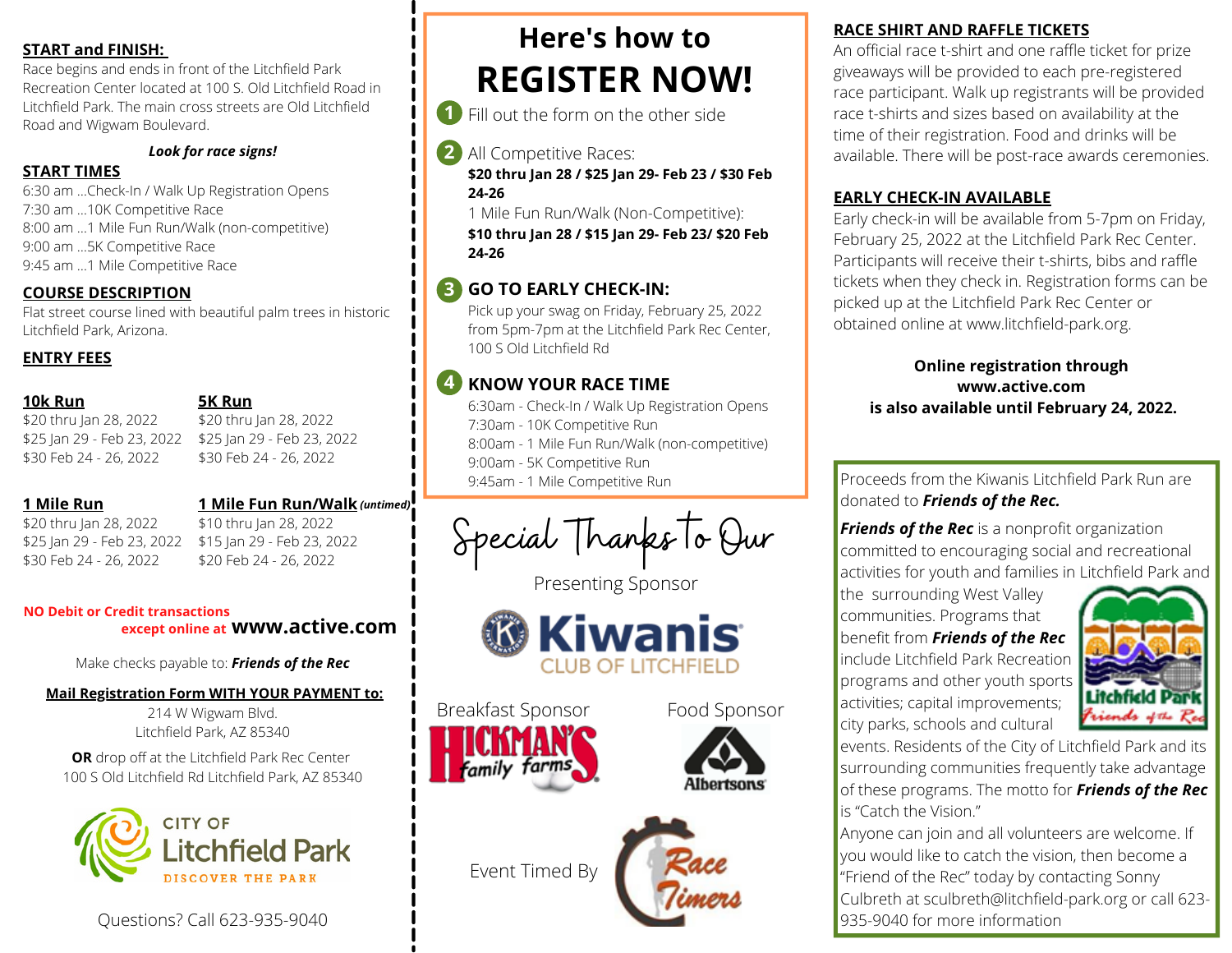### **START and FINISH:**

Race begins and ends in front of the Litchfield Park Recreation Center located at 100 S. Old Litchfield Road in Litchfield Park. The main cross streets are Old Litchfield Road and Wigwam Boulevard.

### *Look for race signs!*

**START TIMES**

6:30 am …Check-In / Walk Up Registration Opens 7:30 am …10K Competitive Race 8:00 am …1 Mile Fun Run/Walk (non-competitive) 9:00 am …5K Competitive Race 9:45 am …1 Mile Competitive Race

### **COURSE DESCRIPTION**

Flat street course lined with beautiful palm trees in historic Litchfield Park, Arizona.

**5K Run**

### **ENTRY FEES**

### **10k Run**

\$20 thru Jan 28, 2022 \$25 Jan 29 - Feb 23, 2022 \$30 Feb 24 - 26, 2022

### \$20 thru Jan 28, 2022 \$25 Jan 29 - Feb 23, 2022 \$30 Feb 24 - 26, 2022

**1 Mile Run**

**1 Mile Fun Run/Walk** *(untimed)*

\$20 thru Jan 28, 2022 \$25 Jan 29 - Feb 23, 2022 \$30 Feb 24 - 26, 2022

\$10 thru Jan 28, 2022 \$15 Jan 29 - Feb 23, 2022 \$20 Feb 24 - 26, 2022

### **NO Debit or Credit transactions**

### **except online at www.active.com**

Make checks payable to: *Friends of the Rec*

**Mail Registration Form WITH YOUR PAYMENT to:**

214 W Wigwam Blvd. Litchfield Park, AZ 85340

**OR** drop off at the Litchfield Park Rec Center 100 S Old Litchfield Rd Litchfield Park, AZ 85340



Questions? Call 623-935-9040

# **Here's how to REGISTER NOW!**

Fill out the form on the other side **1**

All Competitive Races: **2**

**\$20 thru Jan 28 / \$25 Jan 29- Feb 23 / \$30 Feb 24-26**

1 Mile Fun Run/Walk (Non-Competitive): **\$10 thru Jan 28 / \$15 Jan 29- Feb 23/ \$20 Feb 24-26**

#### **GO TO EARLY CHECK-IN: 3**

Pick up your swag on Friday, February 25, 2022 from 5pm-7pm at the Litchfield Park Rec Center, 100 S Old Litchfield Rd

## **KNOW YOUR RACE TIME 4**

6:30am - Check-In / Walk Up Registration Opens 7:30am - 10K Competitive Run 8:00am - 1 Mile Fun Run/Walk (non-competitive) 9:00am - 5K Competitive Run 9:45am - 1 Mile Competitive Run

Special Thanks to Our

Presenting Sponsor



Food Sponsor

Alhertsons



Event Timed By

### **RACE SHIRT AND RAFFLE TICKETS**

An official race t-shirt and one raffle ticket for prize giveaways will be provided to each pre-registered race participant. Walk up registrants will be provided race t-shirts and sizes based on availability at the time of their registration. Food and drinks will be available. There will be post-race awards ceremonies.

### **EARLY CHECK-IN AVAILABLE**

Early check-in will be available from 5-7pm on Friday, February 25, 2022 at the Litchfield Park Rec Center. Participants will receive their t-shirts, bibs and raffle tickets when they check in. Registration forms can be picked up at the Litchfield Park Rec Center or obtained online at www.litchfield-park.org.

### **Online registration through www.active.com is also available until February 24, 2022.**

Proceeds from the Kiwanis Litchfield Park Run are donated to *Friends of the Rec.*

*Friends of the Rec* is a nonprofit organization committed to encouraging social and recreational activities for youth and families in Litchfield Park and

the surrounding West Valley communities. Programs that benefit from *Friends of the Rec* include Litchfield Park Recreation programs and other youth sports activities; capital improvements; city parks, schools and cultural



events. Residents of the City of Litchfield Park and its surrounding communities frequently take advantage of these programs. The motto for *Friends of the Rec* is "Catch the Vision."

Anyone can join and all volunteers are welcome. If you would like to catch the vision, then become a "Friend of the Rec" today by contacting Sonny Culbreth at sculbreth@litchfield-park.org or call 623- 935-9040 for more information